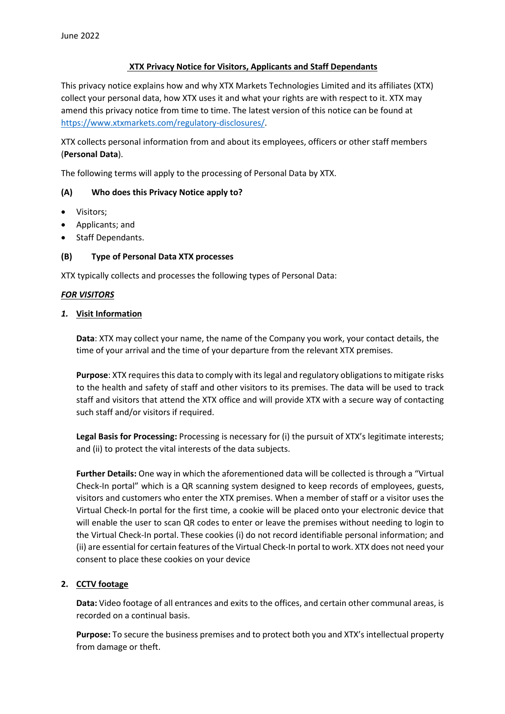# **XTX Privacy Notice for Visitors, Applicants and Staff Dependants**

This privacy notice explains how and why XTX Markets Technologies Limited and its affiliates (XTX) collect your personal data, how XTX uses it and what your rights are with respect to it. XTX may amend this privacy notice from time to time. The latest version of this notice can be found at [https://www.xtxmarkets.com/regulatory-disclosures/.](https://www.xtxmarkets.com/regulatory-disclosures/)

XTX collects personal information from and about its employees, officers or other staff members (**Personal Data**).

The following terms will apply to the processing of Personal Data by XTX.

# **(A) Who does this Privacy Notice apply to?**

- Visitors;
- Applicants; and
- Staff Dependants.

# **(B) Type of Personal Data XTX processes**

XTX typically collects and processes the following types of Personal Data:

# *FOR VISITORS*

# *1.* **Visit Information**

**Data**: XTX may collect your name, the name of the Company you work, your contact details, the time of your arrival and the time of your departure from the relevant XTX premises.

**Purpose**: XTX requires this data to comply with its legal and regulatory obligations to mitigate risks to the health and safety of staff and other visitors to its premises. The data will be used to track staff and visitors that attend the XTX office and will provide XTX with a secure way of contacting such staff and/or visitors if required.

**Legal Basis for Processing:** Processing is necessary for (i) the pursuit of XTX's legitimate interests; and (ii) to protect the vital interests of the data subjects.

**Further Details:** One way in which the aforementioned data will be collected is through a "Virtual Check-In portal" which is a QR scanning system designed to keep records of employees, guests, visitors and customers who enter the XTX premises. When a member of staff or a visitor uses the Virtual Check-In portal for the first time, a cookie will be placed onto your electronic device that will enable the user to scan QR codes to enter or leave the premises without needing to login to the Virtual Check-In portal. These cookies (i) do not record identifiable personal information; and (ii) are essential for certain features of the Virtual Check-In portal to work. XTX does not need your consent to place these cookies on your device

# **2. CCTV footage**

**Data:** Video footage of all entrances and exits to the offices, and certain other communal areas, is recorded on a continual basis.

**Purpose:** To secure the business premises and to protect both you and XTX's intellectual property from damage or theft.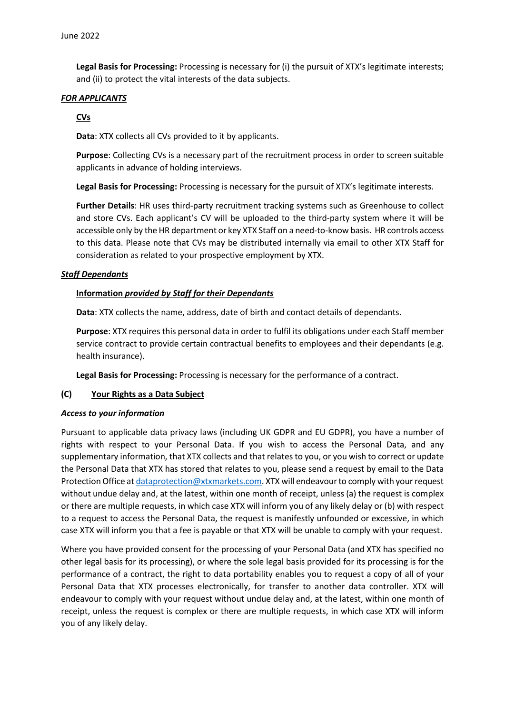**Legal Basis for Processing:** Processing is necessary for (i) the pursuit of XTX's legitimate interests; and (ii) to protect the vital interests of the data subjects.

# *FOR APPLICANTS*

# **CVs**

**Data**: XTX collects all CVs provided to it by applicants.

**Purpose**: Collecting CVs is a necessary part of the recruitment process in order to screen suitable applicants in advance of holding interviews.

**Legal Basis for Processing:** Processing is necessary for the pursuit of XTX's legitimate interests.

**Further Details**: HR uses third-party recruitment tracking systems such as Greenhouse to collect and store CVs. Each applicant's CV will be uploaded to the third-party system where it will be accessible only by the HR department or key XTX Staff on a need-to-know basis. HR controls access to this data. Please note that CVs may be distributed internally via email to other XTX Staff for consideration as related to your prospective employment by XTX.

### *Staff Dependants*

### **Information** *provided by Staff for their Dependants*

**Data**: XTX collects the name, address, date of birth and contact details of dependants.

**Purpose**: XTX requires this personal data in order to fulfil its obligations under each Staff member service contract to provide certain contractual benefits to employees and their dependants (e.g. health insurance).

**Legal Basis for Processing:** Processing is necessary for the performance of a contract.

#### **(C) Your Rights as a Data Subject**

#### *Access to your information*

Pursuant to applicable data privacy laws (including UK GDPR and EU GDPR), you have a number of rights with respect to your Personal Data. If you wish to access the Personal Data, and any supplementary information, that XTX collects and that relates to you, or you wish to correct or update the Personal Data that XTX has stored that relates to you, please send a request by email to the Data Protection Office a[t dataprotection@xtxmarkets.com.](mailto:dataprotection@xtxmarkets.com) XTX will endeavour to comply with your request without undue delay and, at the latest, within one month of receipt, unless (a) the request is complex or there are multiple requests, in which case XTX will inform you of any likely delay or (b) with respect to a request to access the Personal Data, the request is manifestly unfounded or excessive, in which case XTX will inform you that a fee is payable or that XTX will be unable to comply with your request.

Where you have provided consent for the processing of your Personal Data (and XTX has specified no other legal basis for its processing), or where the sole legal basis provided for its processing is for the performance of a contract, the right to data portability enables you to request a copy of all of your Personal Data that XTX processes electronically, for transfer to another data controller. XTX will endeavour to comply with your request without undue delay and, at the latest, within one month of receipt, unless the request is complex or there are multiple requests, in which case XTX will inform you of any likely delay.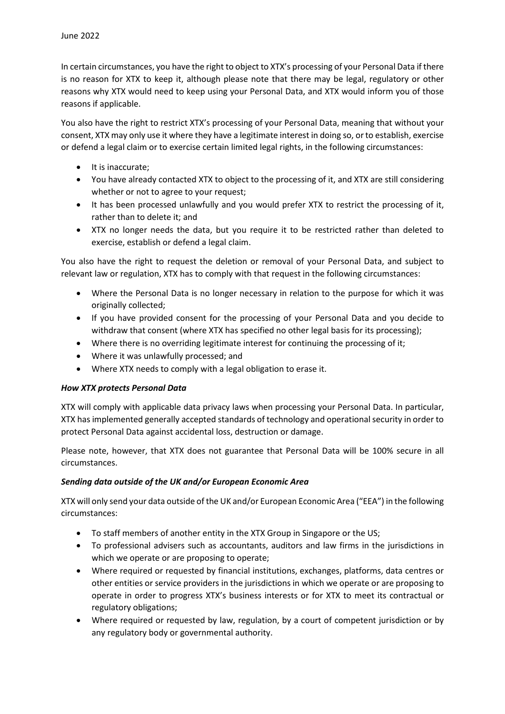In certain circumstances, you have the right to object to XTX's processing of your Personal Data if there is no reason for XTX to keep it, although please note that there may be legal, regulatory or other reasons why XTX would need to keep using your Personal Data, and XTX would inform you of those reasons if applicable.

You also have the right to restrict XTX's processing of your Personal Data, meaning that without your consent, XTX may only use it where they have a legitimate interest in doing so, or to establish, exercise or defend a legal claim or to exercise certain limited legal rights, in the following circumstances:

- It is inaccurate;
- You have already contacted XTX to object to the processing of it, and XTX are still considering whether or not to agree to your request;
- It has been processed unlawfully and you would prefer XTX to restrict the processing of it, rather than to delete it; and
- XTX no longer needs the data, but you require it to be restricted rather than deleted to exercise, establish or defend a legal claim.

You also have the right to request the deletion or removal of your Personal Data, and subject to relevant law or regulation, XTX has to comply with that request in the following circumstances:

- Where the Personal Data is no longer necessary in relation to the purpose for which it was originally collected;
- If you have provided consent for the processing of your Personal Data and you decide to withdraw that consent (where XTX has specified no other legal basis for its processing);
- Where there is no overriding legitimate interest for continuing the processing of it;
- Where it was unlawfully processed; and
- Where XTX needs to comply with a legal obligation to erase it.

# *How XTX protects Personal Data*

XTX will comply with applicable data privacy laws when processing your Personal Data. In particular, XTX has implemented generally accepted standards of technology and operational security in order to protect Personal Data against accidental loss, destruction or damage.

Please note, however, that XTX does not guarantee that Personal Data will be 100% secure in all circumstances.

# *Sending data outside of the UK and/or European Economic Area*

XTX will only send your data outside of the UK and/or European Economic Area ("EEA") in the following circumstances:

- To staff members of another entity in the XTX Group in Singapore or the US;
- To professional advisers such as accountants, auditors and law firms in the jurisdictions in which we operate or are proposing to operate;
- Where required or requested by financial institutions, exchanges, platforms, data centres or other entities or service providers in the jurisdictions in which we operate or are proposing to operate in order to progress XTX's business interests or for XTX to meet its contractual or regulatory obligations;
- Where required or requested by law, regulation, by a court of competent jurisdiction or by any regulatory body or governmental authority.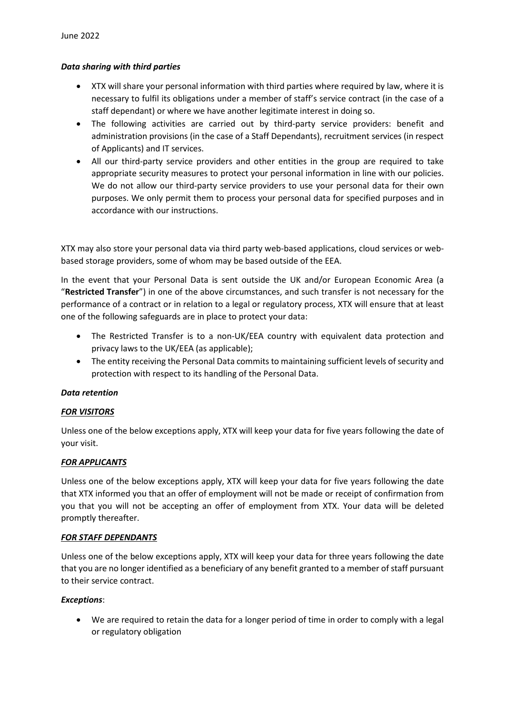# *Data sharing with third parties*

- XTX will share your personal information with third parties where required by law, where it is necessary to fulfil its obligations under a member of staff's service contract (in the case of a staff dependant) or where we have another legitimate interest in doing so.
- The following activities are carried out by third-party service providers: benefit and administration provisions (in the case of a Staff Dependants), recruitment services (in respect of Applicants) and IT services.
- All our third-party service providers and other entities in the group are required to take appropriate security measures to protect your personal information in line with our policies. We do not allow our third-party service providers to use your personal data for their own purposes. We only permit them to process your personal data for specified purposes and in accordance with our instructions.

XTX may also store your personal data via third party web-based applications, cloud services or webbased storage providers, some of whom may be based outside of the EEA.

In the event that your Personal Data is sent outside the UK and/or European Economic Area (a "**Restricted Transfer**") in one of the above circumstances, and such transfer is not necessary for the performance of a contract or in relation to a legal or regulatory process, XTX will ensure that at least one of the following safeguards are in place to protect your data:

- The Restricted Transfer is to a non-UK/EEA country with equivalent data protection and privacy laws to the UK/EEA (as applicable);
- The entity receiving the Personal Data commits to maintaining sufficient levels of security and protection with respect to its handling of the Personal Data.

# *Data retention*

# *FOR VISITORS*

Unless one of the below exceptions apply, XTX will keep your data for five years following the date of your visit.

# *FOR APPLICANTS*

Unless one of the below exceptions apply, XTX will keep your data for five years following the date that XTX informed you that an offer of employment will not be made or receipt of confirmation from you that you will not be accepting an offer of employment from XTX. Your data will be deleted promptly thereafter.

#### *FOR STAFF DEPENDANTS*

Unless one of the below exceptions apply, XTX will keep your data for three years following the date that you are no longer identified as a beneficiary of any benefit granted to a member of staff pursuant to their service contract.

# *Exceptions*:

• We are required to retain the data for a longer period of time in order to comply with a legal or regulatory obligation